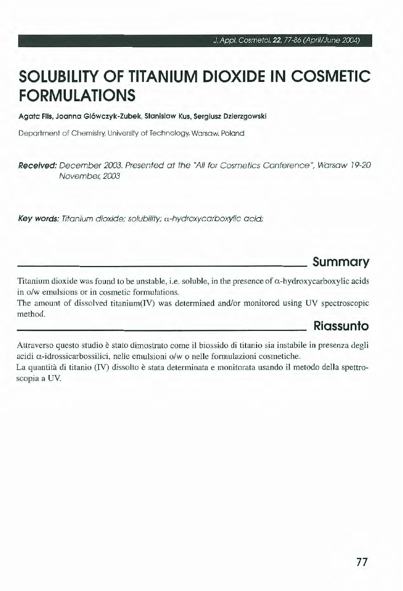# **SOLUBILITY OF TITANIUM DIOXIDE IN COSMETIC FORMULATIONS**

**Agata Flis, Joanna Glòwczyk-Zubek, Stanislaw Kus, Sergiusz Dzierzgowski** 

Department of Chemistry, University of Technology, Warsaw, Poland

Received: December 2003. Presented at the "All for Cosmetics Conference", Warsaw 19-20 November, 2003

Key words: Titanium dioxide; solubility; α-hydroxycarboxylic acid;

### **Summary**

Titanium dioxide was found to be unstable, i.e. soluble, in the presence of  $\alpha$ -hydroxycarboxylic acids in o/w emulsions or in cosmetic formulations.

The amount of dissolved titanium(IV) was determined and/or monitored using UV spectroscopic method.

#### **Riassunto**

Attraverso questo studio è stato dimostrato come il biossido di titanio sia instabile in presenza degli acidi a-idrossicarbossilici, nelle emulsioni o/w o nelle formulazioni cosmetiche. La quantità di titanio (IV) dissolto è stata determinata e monitorata usando il metodo della spettro-

scopia a UV.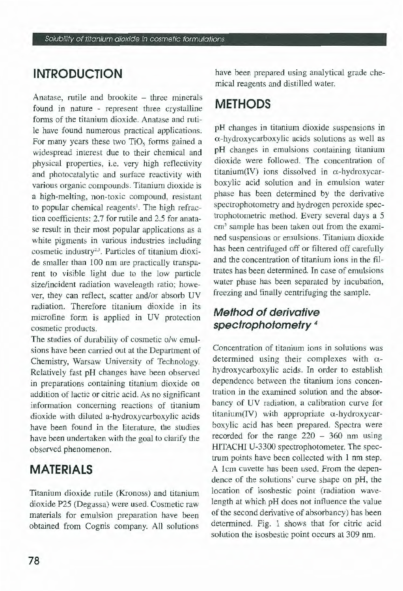## **INTRODUCTION**

Anatase, rutile and brookite – three minerals found in nature - represent three crystalline forms of the titanium dioxide. Anatase and rutile have found numerous practical applications. For many years these two  $TiO<sub>5</sub>$  forms gained a widespread interest due to their chemical and physical properties, i.e. very high reflectivity and photocatalytic and surface reactivity with various organic compounds. Titanium dioxide is a high-melting, non-toxic compound, resistant to popular chemical reagents<sup>1</sup>. The high refraction coefficients: 2.7 for rutile and 2.5 for anatase result in their most popular applications as a white pigments in various industries including cosmetic industry<sup>2,3</sup>. Particles of titanium dioxide smaller than 100 nm are practically transparent to visible light due to the low particle size/incident radiation wavelength ratio; however, they can reflect, scatter and/or absorb UV radiation. Therefore titanium dioxide in its microfine form is applied in UV protection cosmetic products.

The studies of durability of cosmetic o/w emulsions have been carried out at the Department of Chemistry, Warsaw University of Technology. Relatively fast pH changes have been observed in preparations containing titanium dioxide on addition of lactic or citric acid. As no significant information concerning reactions of titanium dioxide with diluted a-hydroxycarboxylic acids have been found in the literature, the studies have been undertaken with the goal to clarify the observed phenomenon.

### **MATERIALS**

Titanium dioxide rutile (Kronoss) and titanium dioxide P25 (Degussa) were used. Cosmetic raw materials for emulsion preparation have been obtained from Cognis company. Ali solutions

have been prepared using analytical grade chemical reagents and distilled water.

### **METHODS**

pH changes in titanium dioxide suspensions in a-hydroxycarboxylic acids solutions as well as pH changes in emulsions containing titanium dioxide were followed. The concentration of titanium(IV) ions dissolved in  $\alpha$ -hydroxycarboxylic acid solution and in emulsion water phase has been determined by the derivative spectrophotometry and hydrogen peroxide spectrophotometric method. Every several days a 5 cm<sup>3</sup> sample has been taken out from the examined suspensions or emulsions. Titanium dioxide has been centrifuged off or filtered off carefully and the concentration of titanium ions in the filtrates has been determined. In case of emulsions water phase has been separated by incubation, freezing and finally centrifuging the sample.

### **Method of derivative spectrophofometry** <sup>4</sup>

Concentration of titanium ions in solutions was determined using their complexes with  $\alpha$ hydroxycarboxylic acids. In order to establish dependence between the titanium ions concentration in the examined solution and the absorbancy of UV radiation, a calibration curve for titanium(IV) with appropriate  $\alpha$ -hydroxycarboxylic acid has been prepared. Spectra were recorded for the range 220 - 360 nm using HITACHI U-3300 spectrophotometer. The spectrum points have been collected with 1 nm step. A lcm cuvette has been used. From the dependence of the solutions' curve shape on pH, the location of isosbestic point (radiation wavelength at which pH does not influence the value of the second derivative of absorbancy) has been determined. Fig. l shows that for citric acid solution the isosbestic point occurs at 309 nm.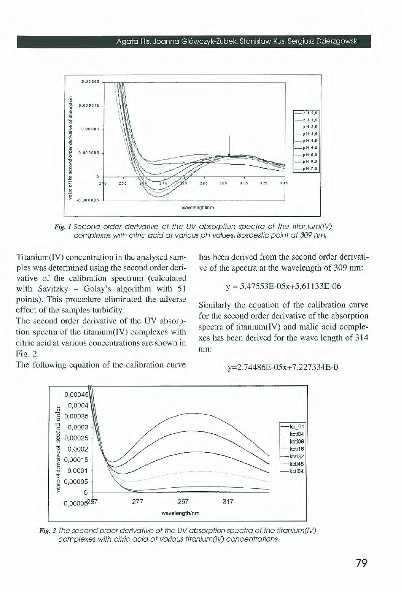

Fig. 1 Second order derivative of the UV absorption spectra of the titanium(IV) complexes with citric acid at various pH values. Isosbestic point at 309 nm.

Titanium(IV) concentration in the analysed samples was determined using the second order derivative of the calibration spectrum (calculated with Savitzky - Golay's algorithm with  $51$ points). This procedure eliminated the adverse effect of the samples turbidity.

The second order derivative of the UV absorption spectra of the titanium(IV) complexes with citric acid at various concentrations are shown in Fig. 2.

The following equation of the calibration curve

has been derived from the second order derivative of the spectra at the wavelength of 309 nm:

$$
y = 5,47553E - 05x + 5,61133E - 06
$$

Similarly the equation of the calibration curve for the second order derivative of the absorption spectra of titanium(IV) and malic acid complexes has been derived for the wave length of 314 nm:

y=2,74486E-05x+7,227334E-0



Fig. 2 The second order derivative of the UV absorption spectra of the titanium(IV) complexes with citric acid at various titanium(IV) concentrations.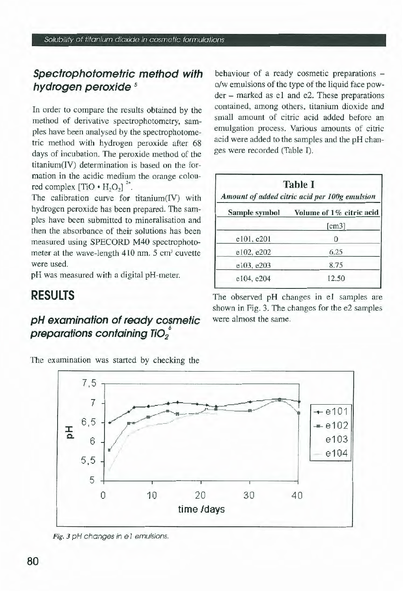### **Spectrophotometric method with hydrogen peroxide** *<sup>5</sup>*

In order to compare the results obtained by the method of derivative spectrophotometry, samples have been analysed by the spectrophotometric method with hydrogen peroxide after 68 days of incubation. The peroxide method of the titanium(IV) determination is based on the formation in the acidic medium the orange coloured complex  $[TIO \cdot H_2O_2]$ <sup>2+</sup>.

The calibration curve for titanium(IV) with hydrogen peroxide has been prepared. The samples have been submitted to mineralisation and then the absorbance of their solutions has been measured using SPECORD M40 spectrophotometer at the wave-length  $410$  nm. 5 cm<sup>3</sup> cuvette were used.

pH was measured with a digitai pH-meter.

## **RESULTS**

### **pH examination of ready cosmetic**  preparations containing TiO<sub>2</sub><sup>°</sup>

The examination was started by checking the

behaviour of a ready cosmetic preparations o/w emulsions of the type of the liquid face powder - marked as el and e2. These preparations contained, among others, titanium dioxide and small amount of citric acid added before an emulgation process. Various amounts of citric acid were added to the samples and the pH changes were recorded (Table I).

| <b>Table I</b><br>Amount of added citric acid per 100g emulsion |                          |  |
|-----------------------------------------------------------------|--------------------------|--|
| Sample symbol                                                   | Volume of 1% citric acid |  |
|                                                                 | [cm3]                    |  |
| e101, e201                                                      | 0                        |  |
| e102, e202                                                      | 6.25                     |  |
| e103, e203                                                      | 8.75                     |  |
| e104, e204                                                      | 12.50                    |  |

The observed pH changes in e1 samples are shown in Fig. 3. The changes for the e2 samples were almost the same.



Fig. 3 pH changes in e 1 emulsions.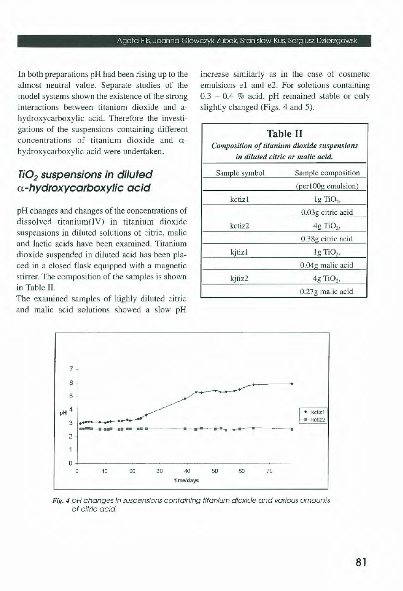In both preparations pH had been rising up to the almost neutra] value. Separate studies of the model systems shown the existence of the strong interactions between titanium dioxide and ahydroxycarboxylic acid. Therefore the investigations of the suspensions containing different concentrations of titanium dioxide and  $\alpha$ hydroxycarboxylic acid were undertaken.

#### **Ti02 suspensions in diluted a-hydroxycarboxylic acid**

pH changes and changes of the concentrations of dissolved titanium(IV) in titanium dioxide suspensions in diluted solutions of citric, malie and lactic acids have been examined. Titanium dioxide suspended in diluted acid has been placed in a closed flask equipped with a magnetic stirrer. The composition of the samples is shown in Table Il.

The examined samples of highly diluted citric and malie acid solutions showed a slow pH increase similarly as in the case of cosmetic emulsions e<sub>I</sub> and e<sub>2</sub>. For solutions containing  $0.3 - 0.4$  % acid, pH remained stable or only slightly changed (Figs. 4 and 5).

| <b>Table II</b><br>Composition of titanium dioxide suspensions<br>in diluted citric or malic acid. |                         |  |
|----------------------------------------------------------------------------------------------------|-------------------------|--|
| Sample symbol                                                                                      | Sample composition      |  |
|                                                                                                    | (per100g emulsion)      |  |
| kctiz1                                                                                             | $1g$ TiO <sub>2</sub> , |  |
|                                                                                                    | 0.03g citric acid       |  |
| kctiz2                                                                                             | $4g$ TiO <sub>2</sub> , |  |
|                                                                                                    | 0.38g citric acid       |  |
| kitiz1                                                                                             | $1g$ TiO <sub>2</sub> , |  |
|                                                                                                    | 0.04g malic acid        |  |
| kitiz2                                                                                             | $4g$ TiO <sub>2</sub> , |  |
|                                                                                                    | 0.27g malic acid        |  |



Fig. 4 pH changes in suspensions containing titanium dioxide and various amounts of citric acid.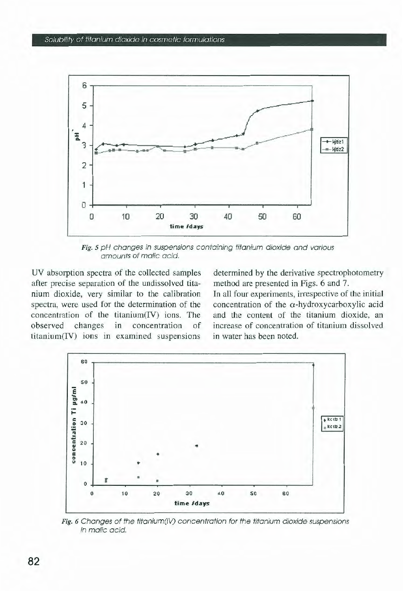

Fig. 5 pH changes in suspensions containing titanium dioxide and various amounts of malic acid.

UV absorption spectra of the collected samples after precise separation of the undissolved titanium dioxide, very similar to the calibration spectra, were used for the determination of the concentration of the titanium(IV) ions. The observed changes in concentration of titanium(IV) ions in examined suspensions determined by the derivative spectrophotometry method are presented in Figs. 6 and 7.

In all four experiments, irrespective of the initial concentration of the α-hydroxycarboxylic acid and the content of the titanium dioxide, an increase of concentration of titanium dissolved in water has been noted.



Fig. 6 Changes of the titanium(IV) concentration for the titanium dioxide suspensions in malic acid.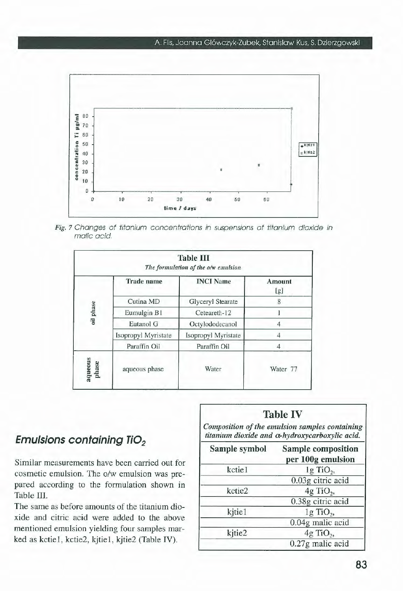

Fig. 7 Changes of titanium concentrations in suspensions of titanium dioxide in malic acid.

| <b>Table III</b><br>The formulation of the o/w emulsion |                     |               |  |  |
|---------------------------------------------------------|---------------------|---------------|--|--|
| <b>Trade</b> name                                       | <b>INCI</b> Name    | Amount<br>[g] |  |  |
| Cutina MD                                               | Glyceryl Stearate   | 8             |  |  |
| Eumulgin B1                                             | Ceteareth-12        |               |  |  |
| Eutanol G                                               | Octylododecanol     | 4             |  |  |
| Isopropyl Myristate                                     | Isopropyl Myristate |               |  |  |
| Paraffin Oil                                            | Paraffin Oil        | 4             |  |  |
| aqueous phase                                           | Water               | Water 77      |  |  |
|                                                         |                     |               |  |  |

#### **Emulsions containing TiO<sub>2</sub>**

Similar measurements have been carried out for cosmetic emulsion. The o/w emulsion was prepared according to the formulation shown in Table III.

The same as before amounts of the titanium dioxide and citric acid were added to the above mentioned emulsion yielding four samples marked as kctie1, kctie2, kjtie1, kjtie2 (Table IV).

| Sample symbol | Sample composition<br>per 100g emulsion |
|---------------|-----------------------------------------|
| kctie1        | lg TiO <sub>2</sub>                     |
|               | 0.03g citric acid                       |
| kctie2        | 4g TiO <sub>2</sub> ,                   |
|               | 0.38g citric acid                       |
| kjtie1        | $1g$ TiO <sub>2</sub> ,                 |
|               | 0.04g malic acid                        |
| kjtie2        | 4g TiO <sub>2</sub> ,                   |
|               | 0.27g malic acid                        |

**Table IV**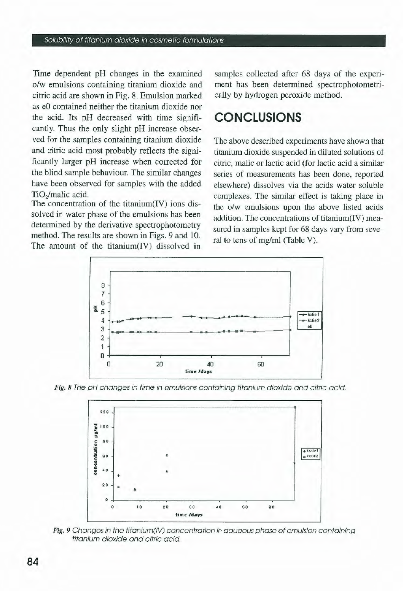Time dependent pH changes in the examined *o!w* emulsions containing titanium dioxide and citric acid are shown in Fig. 8. Emulsion marked as eO contained neither the titanium dioxide nor the acid. lts pH decreased with time significantly. Thus the only slight pH increase observed for the samples containing titanium dioxide and citric acid most probably reflects the significantly larger pH increase when corrected for the blind sample behaviour. The similar changes have been observed for samples with the added TiO<sub>2</sub>/malic acid.

The concentration of the titanium(IV) ions dissolved in water phase of the emulsions has been deterrnined by the derivative spectrophotometry method. The results are shown in Figs. 9 and 10. The amount of the titanium(IV) dissolved in

samples collected after 68 days of the experiment has been determined spectrophotometrically by hydrogen peroxide method.

## **CONCLUSIONS**

The above described experiments have shown that titanium dioxide suspended in diluted solutions of citric, malie or lactic acid (for lactic acid a similar series of measurements has been done, reported elsewhere) dissolves via the acids water soluble complexes. The similar effect is taking place in the o/w emulsions upon the above listed acids addition. The concentrations of titanium(IV) measured in samples kept for 68 days vary from several to tens of mg/ml (Table V).







Fig. 9 Changes in the titanium(IV) concentration in aqueous phase of emulsion containing titonium dioxide ond citric ocid.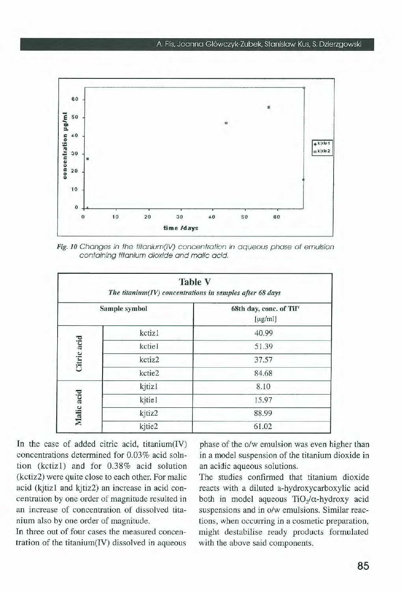

Fig. 10 Changes in the titanium(IV) concentration in aqueous phase of emulsion containing titanium dioxide and malie acid.

| <b>Table V</b><br>The titanium $(IV)$ concentrations in samples after 68 days |               |                                         |  |  |
|-------------------------------------------------------------------------------|---------------|-----------------------------------------|--|--|
|                                                                               | Sample symbol | 68th day, conc. of TiIV<br>$[\mu g/ml]$ |  |  |
| Citric acid                                                                   | kctiz1        | 40.99                                   |  |  |
|                                                                               | kctiel        | 51.39                                   |  |  |
|                                                                               | kctiz2        | 37.57                                   |  |  |
|                                                                               | kctie2        | 84.68                                   |  |  |
| kjtizl<br>Malic acid<br>kjtie1                                                |               | 8.10                                    |  |  |
|                                                                               |               | 15.97                                   |  |  |
|                                                                               | kjtiz2        | 88.99                                   |  |  |
|                                                                               | kjtie2        | 61.02                                   |  |  |

In the case of added citric acid, titanium(IV) concentrations determined for 0.03% acid solution (kctiz1) and for 0.38% acid solution (kctiz2) were quite close to each other. For malic acid (kjtiz1 and kjtiz2) an increase in acid concentration by one arder of magnitude resulted in an increase of concentration of dissolved titanium also by one order of magnitude.

In three out of four cases the measured concentration of the titanium(IV) dissolved in aqueous phase of the o/w emulsion was even higher than in a model suspension of the titanium dioxide in an acidic aqueous solutions.

The studies confirmed that titanium dioxide reacts with a diluted a-hydroxycarboxylic acid both in model aqueous  $TiO<sub>2</sub>/\alpha$ -hydroxy acid suspensions and in o/w emulsions. Similar reactions, when occurring in a cosmetic preparation, might destabilise ready products formulated with the above said components.